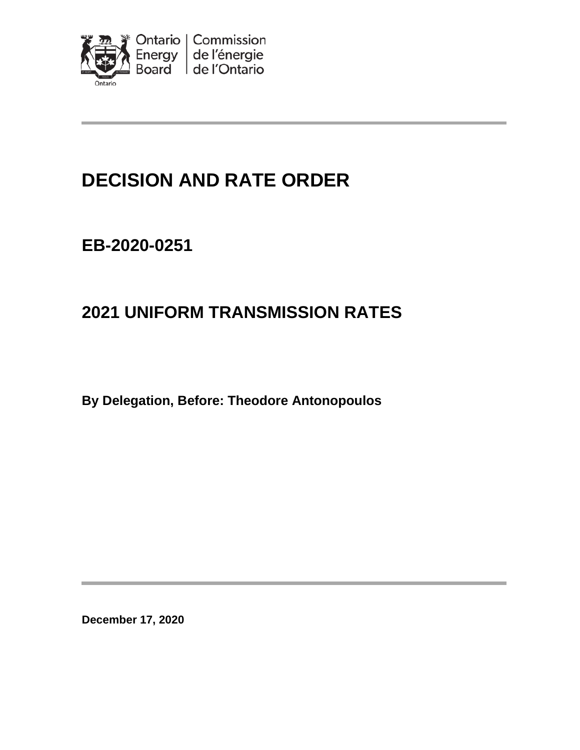

# **DECISION AND RATE ORDER**

# **EB-2020-0251**

# **2021 UNIFORM TRANSMISSION RATES**

**By Delegation, Before: Theodore Antonopoulos**

**December 17, 2020**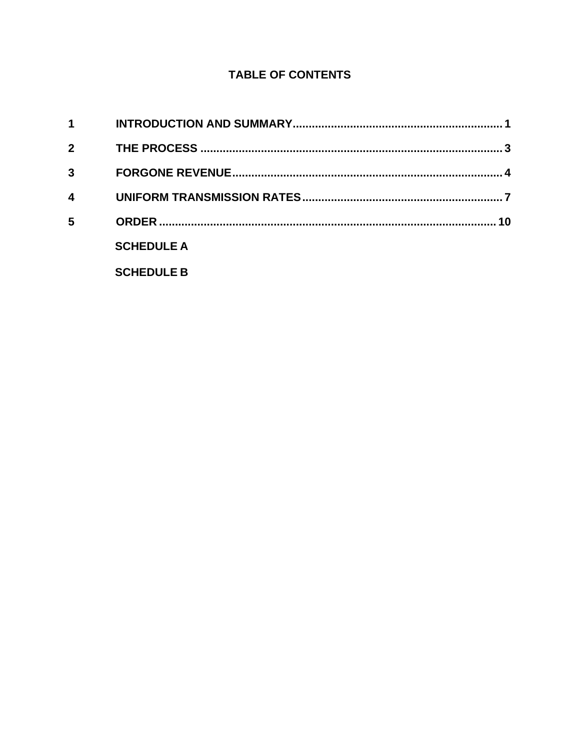## **TABLE OF CONTENTS**

| 1            |                   |    |
|--------------|-------------------|----|
| $\mathbf{2}$ |                   |    |
| 3            |                   |    |
| 4            |                   |    |
| 5            |                   | 10 |
|              | <b>SCHEDULE A</b> |    |
|              | <b>SCHEDULE B</b> |    |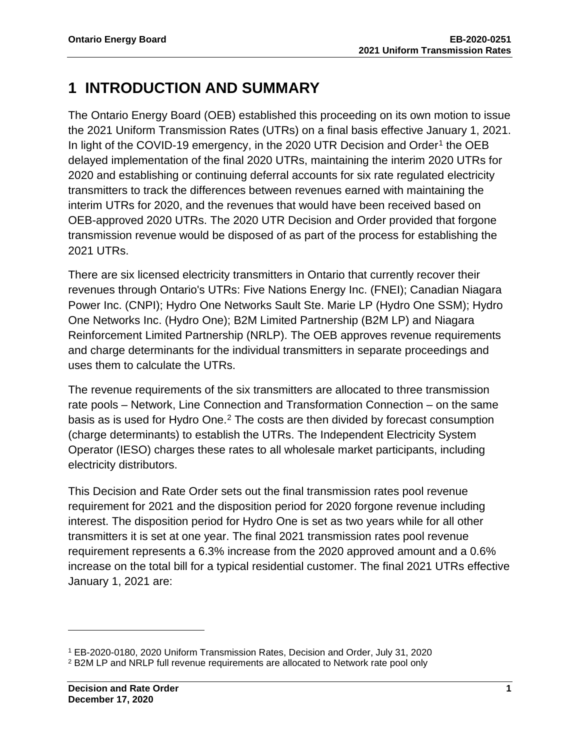# <span id="page-2-0"></span>**1 INTRODUCTION AND SUMMARY**

The Ontario Energy Board (OEB) established this proceeding on its own motion to issue the 2021 Uniform Transmission Rates (UTRs) on a final basis effective January 1, 2021. In light of the COVID-[1](#page-2-1)9 emergency, in the 2020 UTR Decision and Order<sup>1</sup> the OEB delayed implementation of the final 2020 UTRs, maintaining the interim 2020 UTRs for 2020 and establishing or continuing deferral accounts for six rate regulated electricity transmitters to track the differences between revenues earned with maintaining the interim UTRs for 2020, and the revenues that would have been received based on OEB-approved 2020 UTRs. The 2020 UTR Decision and Order provided that forgone transmission revenue would be disposed of as part of the process for establishing the 2021 UTRs.

There are six licensed electricity transmitters in Ontario that currently recover their revenues through Ontario's UTRs: Five Nations Energy Inc. (FNEI); Canadian Niagara Power Inc. (CNPI); Hydro One Networks Sault Ste. Marie LP (Hydro One SSM); Hydro One Networks Inc. (Hydro One); B2M Limited Partnership (B2M LP) and Niagara Reinforcement Limited Partnership (NRLP). The OEB approves revenue requirements and charge determinants for the individual transmitters in separate proceedings and uses them to calculate the UTRs.

The revenue requirements of the six transmitters are allocated to three transmission rate pools – Network, Line Connection and Transformation Connection – on the same basis as is used for Hydro One.[2](#page-2-2) The costs are then divided by forecast consumption (charge determinants) to establish the UTRs. The Independent Electricity System Operator (IESO) charges these rates to all wholesale market participants, including electricity distributors.

This Decision and Rate Order sets out the final transmission rates pool revenue requirement for 2021 and the disposition period for 2020 forgone revenue including interest. The disposition period for Hydro One is set as two years while for all other transmitters it is set at one year. The final 2021 transmission rates pool revenue requirement represents a 6.3% increase from the 2020 approved amount and a 0.6% increase on the total bill for a typical residential customer. The final 2021 UTRs effective January 1, 2021 are:

<span id="page-2-1"></span><sup>1</sup> EB-2020-0180, 2020 Uniform Transmission Rates, Decision and Order, July 31, 2020

<span id="page-2-2"></span><sup>2</sup> B2M LP and NRLP full revenue requirements are allocated to Network rate pool only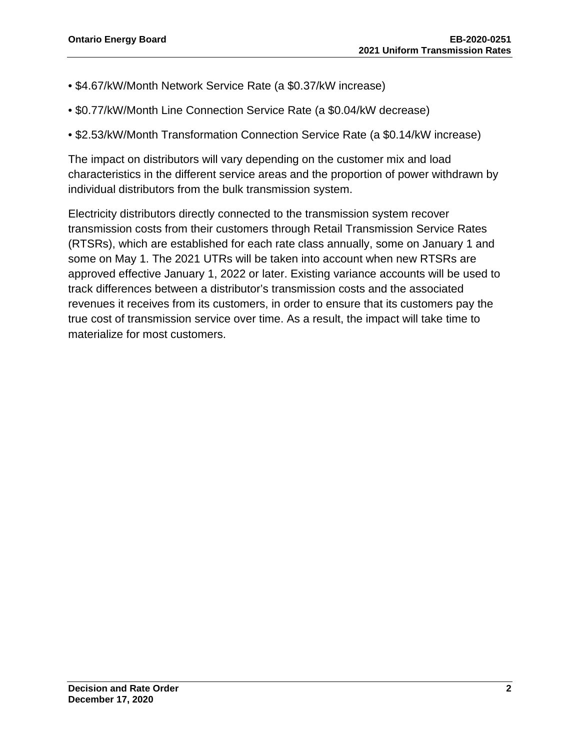- \$4.67/kW/Month Network Service Rate (a \$0.37/kW increase)
- \$0.77/kW/Month Line Connection Service Rate (a \$0.04/kW decrease)
- \$2.53/kW/Month Transformation Connection Service Rate (a \$0.14/kW increase)

The impact on distributors will vary depending on the customer mix and load characteristics in the different service areas and the proportion of power withdrawn by individual distributors from the bulk transmission system.

Electricity distributors directly connected to the transmission system recover transmission costs from their customers through Retail Transmission Service Rates (RTSRs), which are established for each rate class annually, some on January 1 and some on May 1. The 2021 UTRs will be taken into account when new RTSRs are approved effective January 1, 2022 or later. Existing variance accounts will be used to track differences between a distributor's transmission costs and the associated revenues it receives from its customers, in order to ensure that its customers pay the true cost of transmission service over time. As a result, the impact will take time to materialize for most customers.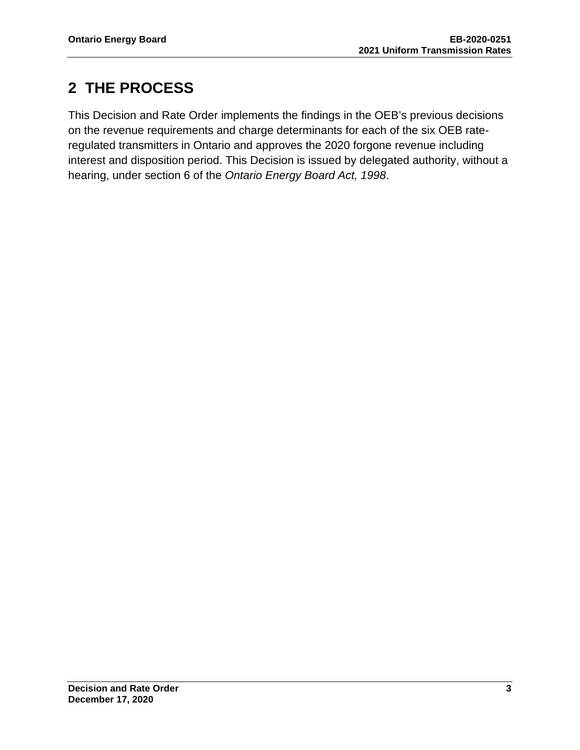# <span id="page-4-0"></span>**2 THE PROCESS**

This Decision and Rate Order implements the findings in the OEB's previous decisions on the revenue requirements and charge determinants for each of the six OEB rateregulated transmitters in Ontario and approves the 2020 forgone revenue including interest and disposition period. This Decision is issued by delegated authority, without a hearing, under section 6 of the *Ontario Energy Board Act, 1998*.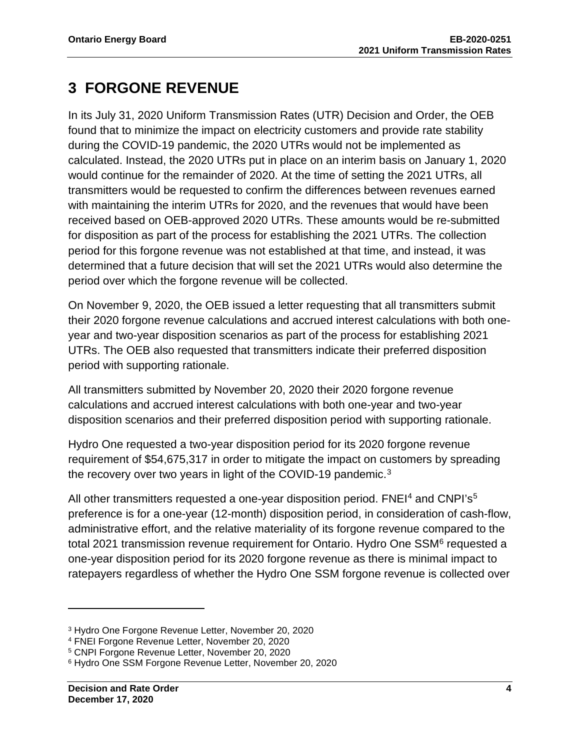# <span id="page-5-0"></span>**3 FORGONE REVENUE**

In its July 31, 2020 Uniform Transmission Rates (UTR) Decision and Order, the OEB found that to minimize the impact on electricity customers and provide rate stability during the COVID-19 pandemic, the 2020 UTRs would not be implemented as calculated. Instead, the 2020 UTRs put in place on an interim basis on January 1, 2020 would continue for the remainder of 2020. At the time of setting the 2021 UTRs, all transmitters would be requested to confirm the differences between revenues earned with maintaining the interim UTRs for 2020, and the revenues that would have been received based on OEB-approved 2020 UTRs. These amounts would be re-submitted for disposition as part of the process for establishing the 2021 UTRs. The collection period for this forgone revenue was not established at that time, and instead, it was determined that a future decision that will set the 2021 UTRs would also determine the period over which the forgone revenue will be collected.

On November 9, 2020, the OEB issued a letter requesting that all transmitters submit their 2020 forgone revenue calculations and accrued interest calculations with both oneyear and two-year disposition scenarios as part of the process for establishing 2021 UTRs. The OEB also requested that transmitters indicate their preferred disposition period with supporting rationale.

All transmitters submitted by November 20, 2020 their 2020 forgone revenue calculations and accrued interest calculations with both one-year and two-year disposition scenarios and their preferred disposition period with supporting rationale.

Hydro One requested a two-year disposition period for its 2020 forgone revenue requirement of \$54,675,317 in order to mitigate the impact on customers by spreading the recovery over two years in light of the COVID-19 pandemic.<sup>[3](#page-5-1)</sup>

All other transmitters requested a one-year disposition period. FNEI<sup>[4](#page-5-2)</sup> and CNPI's<sup>[5](#page-5-3)</sup> preference is for a one-year (12-month) disposition period, in consideration of cash-flow, administrative effort, and the relative materiality of its forgone revenue compared to the total 2021 transmission revenue requirement for Ontario. Hydro One SSM<sup>[6](#page-5-4)</sup> requested a one-year disposition period for its 2020 forgone revenue as there is minimal impact to ratepayers regardless of whether the Hydro One SSM forgone revenue is collected over

<span id="page-5-1"></span><sup>3</sup> Hydro One Forgone Revenue Letter, November 20, 2020

<span id="page-5-2"></span><sup>4</sup> FNEI Forgone Revenue Letter, November 20, 2020

<span id="page-5-3"></span><sup>5</sup> CNPI Forgone Revenue Letter, November 20, 2020

<span id="page-5-4"></span><sup>6</sup> Hydro One SSM Forgone Revenue Letter, November 20, 2020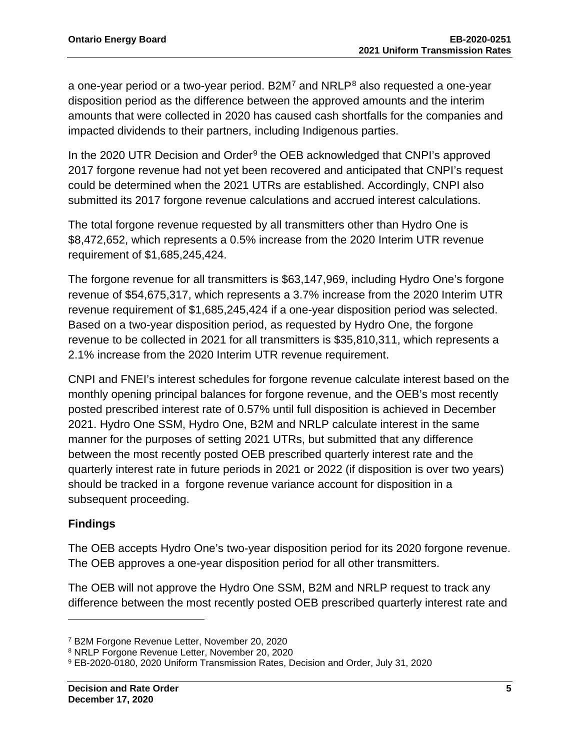a one-year period or a two-year period. B2M<sup>[7](#page-6-0)</sup> and NRLP<sup>[8](#page-6-1)</sup> also requested a one-year disposition period as the difference between the approved amounts and the interim amounts that were collected in 2020 has caused cash shortfalls for the companies and impacted dividends to their partners, including Indigenous parties.

In the 2020 UTR Decision and Order $9$  the OEB acknowledged that CNPI's approved 2017 forgone revenue had not yet been recovered and anticipated that CNPI's request could be determined when the 2021 UTRs are established. Accordingly, CNPI also submitted its 2017 forgone revenue calculations and accrued interest calculations.

The total forgone revenue requested by all transmitters other than Hydro One is \$8,472,652, which represents a 0.5% increase from the 2020 Interim UTR revenue requirement of \$1,685,245,424.

The forgone revenue for all transmitters is \$63,147,969, including Hydro One's forgone revenue of \$54,675,317, which represents a 3.7% increase from the 2020 Interim UTR revenue requirement of \$1,685,245,424 if a one-year disposition period was selected. Based on a two-year disposition period, as requested by Hydro One, the forgone revenue to be collected in 2021 for all transmitters is \$35,810,311, which represents a 2.1% increase from the 2020 Interim UTR revenue requirement.

CNPI and FNEI's interest schedules for forgone revenue calculate interest based on the monthly opening principal balances for forgone revenue, and the OEB's most recently posted prescribed interest rate of 0.57% until full disposition is achieved in December 2021. Hydro One SSM, Hydro One, B2M and NRLP calculate interest in the same manner for the purposes of setting 2021 UTRs, but submitted that any difference between the most recently posted OEB prescribed quarterly interest rate and the quarterly interest rate in future periods in 2021 or 2022 (if disposition is over two years) should be tracked in a forgone revenue variance account for disposition in a subsequent proceeding.

## **Findings**

The OEB accepts Hydro One's two-year disposition period for its 2020 forgone revenue. The OEB approves a one-year disposition period for all other transmitters.

The OEB will not approve the Hydro One SSM, B2M and NRLP request to track any difference between the most recently posted OEB prescribed quarterly interest rate and

<span id="page-6-0"></span><sup>7</sup> B2M Forgone Revenue Letter, November 20, 2020

<span id="page-6-1"></span><sup>8</sup> NRLP Forgone Revenue Letter, November 20, 2020

<span id="page-6-2"></span><sup>9</sup> EB-2020-0180, 2020 Uniform Transmission Rates, Decision and Order, July 31, 2020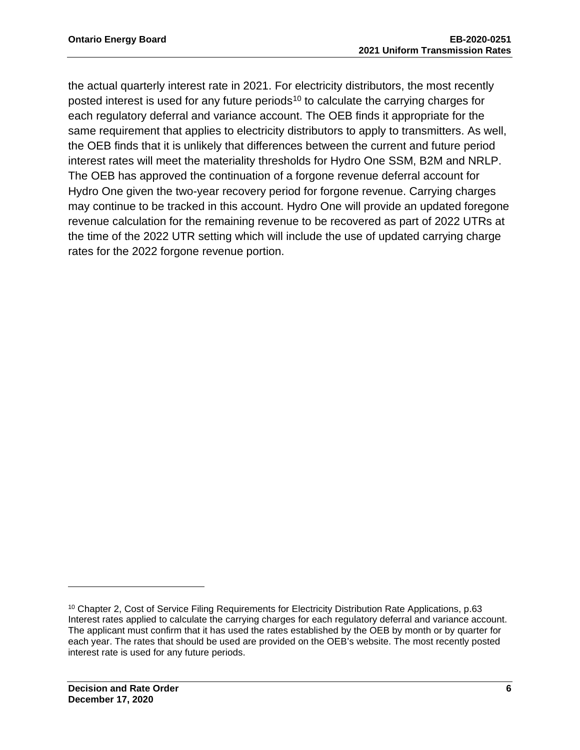the actual quarterly interest rate in 2021. For electricity distributors, the most recently posted interest is used for any future periods<sup>10</sup> to calculate the carrying charges for each regulatory deferral and variance account. The OEB finds it appropriate for the same requirement that applies to electricity distributors to apply to transmitters. As well, the OEB finds that it is unlikely that differences between the current and future period interest rates will meet the materiality thresholds for Hydro One SSM, B2M and NRLP. The OEB has approved the continuation of a forgone revenue deferral account for Hydro One given the two-year recovery period for forgone revenue. Carrying charges may continue to be tracked in this account. Hydro One will provide an updated foregone revenue calculation for the remaining revenue to be recovered as part of 2022 UTRs at the time of the 2022 UTR setting which will include the use of updated carrying charge rates for the 2022 forgone revenue portion.

<span id="page-7-0"></span><sup>&</sup>lt;sup>10</sup> Chapter 2, Cost of Service Filing Requirements for Electricity Distribution Rate Applications, p.63 Interest rates applied to calculate the carrying charges for each regulatory deferral and variance account. The applicant must confirm that it has used the rates established by the OEB by month or by quarter for each year. The rates that should be used are provided on the OEB's website. The most recently posted interest rate is used for any future periods.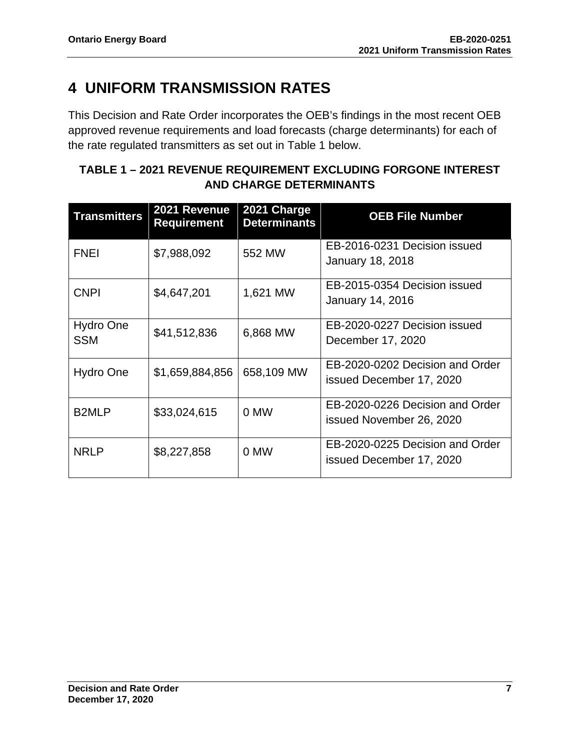# <span id="page-8-0"></span>**4 UNIFORM TRANSMISSION RATES**

This Decision and Rate Order incorporates the OEB's findings in the most recent OEB approved revenue requirements and load forecasts (charge determinants) for each of the rate regulated transmitters as set out in Table 1 below.

## **TABLE 1 – 2021 REVENUE REQUIREMENT EXCLUDING FORGONE INTEREST AND CHARGE DETERMINANTS**

| <b>Transmitters</b>     | 2021 Revenue<br><b>Requirement</b> | 2021 Charge<br><b>Determinants</b> | <b>OEB File Number</b>                                      |
|-------------------------|------------------------------------|------------------------------------|-------------------------------------------------------------|
| <b>FNEI</b>             | \$7,988,092                        | 552 MW                             | EB-2016-0231 Decision issued<br><b>January 18, 2018</b>     |
| <b>CNPI</b>             | \$4,647,201                        | 1,621 MW                           | EB-2015-0354 Decision issued<br>January 14, 2016            |
| Hydro One<br><b>SSM</b> | \$41,512,836                       | 6,868 MW                           | EB-2020-0227 Decision issued<br>December 17, 2020           |
| Hydro One               | \$1,659,884,856                    | 658,109 MW                         | EB-2020-0202 Decision and Order<br>issued December 17, 2020 |
| B <sub>2</sub> MLP      | \$33,024,615                       | 0 MW                               | EB-2020-0226 Decision and Order<br>issued November 26, 2020 |
| <b>NRLP</b>             | \$8,227,858                        | 0 MW                               | EB-2020-0225 Decision and Order<br>issued December 17, 2020 |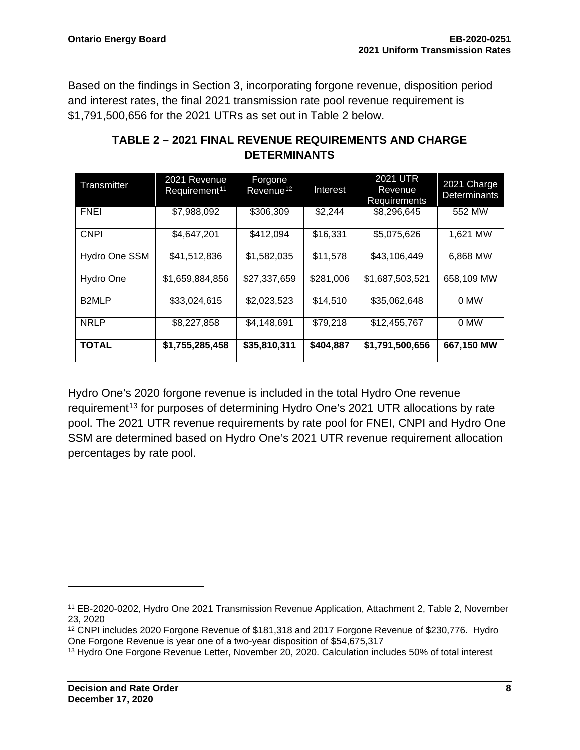Based on the findings in Section 3, incorporating forgone revenue, disposition period and interest rates, the final 2021 transmission rate pool revenue requirement is \$1,791,500,656 for the 2021 UTRs as set out in Table 2 below.

| Transmitter        | 2021 Revenue<br>Requirement <sup>11</sup> | Forgone<br>Revenue <sup>12</sup> | Interest  | 2021 UTR<br>Revenue<br>Requirements | 2021 Charge<br><b>Determinants</b> |
|--------------------|-------------------------------------------|----------------------------------|-----------|-------------------------------------|------------------------------------|
| <b>FNEI</b>        | \$7,988,092                               | \$306,309                        | \$2,244   | \$8,296,645                         | 552 MW                             |
| <b>CNPI</b>        | \$4,647,201                               | \$412,094                        | \$16,331  | \$5,075,626                         | 1,621 MW                           |
| Hydro One SSM      | \$41,512,836                              | \$1,582,035                      | \$11,578  | \$43,106,449                        | 6,868 MW                           |
| Hydro One          | \$1,659,884,856                           | \$27,337,659                     | \$281,006 | \$1,687,503,521                     | 658,109 MW                         |
| B <sub>2</sub> MLP | \$33,024,615                              | \$2,023,523                      | \$14,510  | \$35,062,648                        | 0 MW                               |
| <b>NRLP</b>        | \$8,227,858                               | \$4,148,691                      | \$79,218  | \$12,455,767                        | 0 MW                               |
| <b>TOTAL</b>       | \$1,755,285,458                           | \$35,810,311                     | \$404,887 | \$1,791,500,656                     | 667,150 MW                         |

## **TABLE 2 – 2021 FINAL REVENUE REQUIREMENTS AND CHARGE DETERMINANTS**

Hydro One's 2020 forgone revenue is included in the total Hydro One revenue requirement<sup>[13](#page-9-2)</sup> for purposes of determining Hydro One's 2021 UTR allocations by rate pool. The 2021 UTR revenue requirements by rate pool for FNEI, CNPI and Hydro One SSM are determined based on Hydro One's 2021 UTR revenue requirement allocation percentages by rate pool.

<span id="page-9-1"></span><sup>12</sup> CNPI includes 2020 Forgone Revenue of \$181,318 and 2017 Forgone Revenue of \$230,776. Hydro One Forgone Revenue is year one of a two-year disposition of \$54,675,317

<span id="page-9-0"></span><sup>11</sup> EB-2020-0202, Hydro One 2021 Transmission Revenue Application, Attachment 2, Table 2, November 23, 2020

<span id="page-9-2"></span><sup>13</sup> Hydro One Forgone Revenue Letter, November 20, 2020. Calculation includes 50% of total interest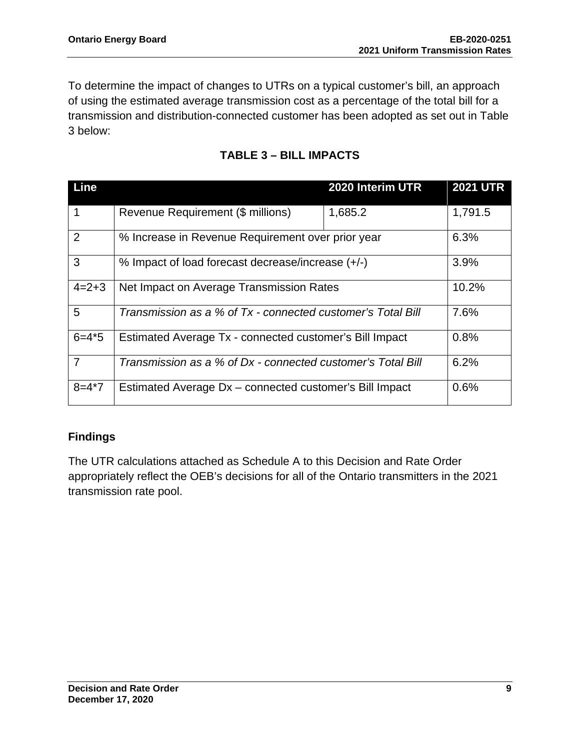To determine the impact of changes to UTRs on a typical customer's bill, an approach of using the estimated average transmission cost as a percentage of the total bill for a transmission and distribution-connected customer has been adopted as set out in Table 3 below:

| Line           |                                                             | 2020 Interim UTR | <b>2021 UTR</b> |
|----------------|-------------------------------------------------------------|------------------|-----------------|
| 1              | Revenue Requirement (\$ millions)                           | 1,685.2          | 1,791.5         |
| $\overline{2}$ | % Increase in Revenue Requirement over prior year           |                  | 6.3%            |
| 3              | % Impact of load forecast decrease/increase (+/-)           |                  | 3.9%            |
| $4=2+3$        | Net Impact on Average Transmission Rates                    |                  | 10.2%           |
| 5              | Transmission as a % of Tx - connected customer's Total Bill |                  | 7.6%            |
| $6 = 4*5$      | Estimated Average Tx - connected customer's Bill Impact     |                  | 0.8%            |
| $\overline{7}$ | Transmission as a % of Dx - connected customer's Total Bill |                  | 6.2%            |
| $8 = 4*7$      | Estimated Average Dx - connected customer's Bill Impact     |                  | 0.6%            |

## **TABLE 3 – BILL IMPACTS**

## **Findings**

The UTR calculations attached as Schedule A to this Decision and Rate Order appropriately reflect the OEB's decisions for all of the Ontario transmitters in the 2021 transmission rate pool.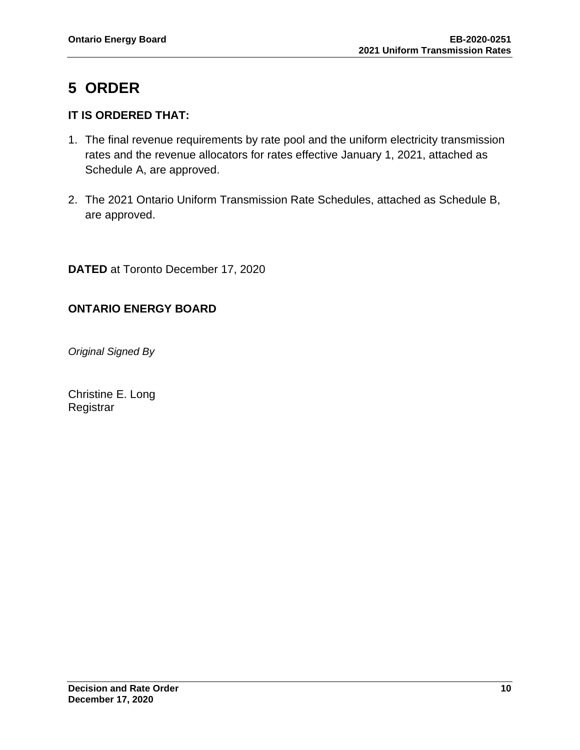# <span id="page-11-0"></span>**5 ORDER**

## **IT IS ORDERED THAT:**

- 1. The final revenue requirements by rate pool and the uniform electricity transmission rates and the revenue allocators for rates effective January 1, 2021, attached as Schedule A, are approved.
- 2. The 2021 Ontario Uniform Transmission Rate Schedules, attached as Schedule B, are approved.

**DATED** at Toronto December 17, 2020

## **ONTARIO ENERGY BOARD**

*Original Signed By*

Christine E. Long **Registrar**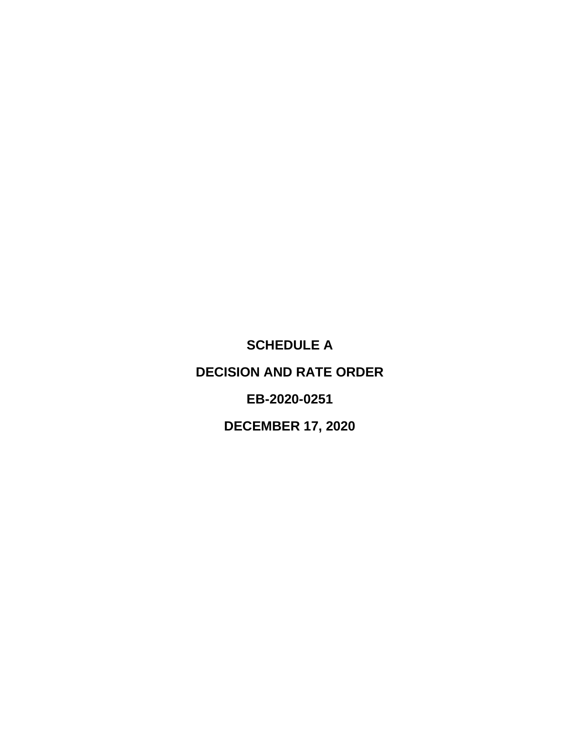<span id="page-12-0"></span>**SCHEDULE A DECISION AND RATE ORDER EB-2020-0251 DECEMBER 17, 2020**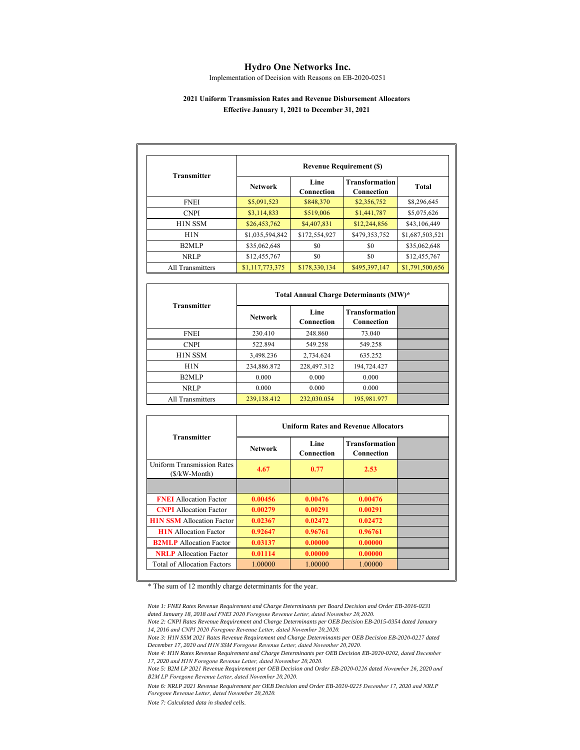#### **Hydro One Networks Inc.**

Implementation of Decision with Reasons on EB-2020-0251

#### **2021 Uniform Transmission Rates and Revenue Disbursement Allocators Effective January 1, 2021 to December 31, 2021**

| <b>Transmitter</b>              |                 | <b>Revenue Requirement (\$)</b> |                                     |                 |
|---------------------------------|-----------------|---------------------------------|-------------------------------------|-----------------|
|                                 | <b>Network</b>  | Line<br>Connection              | <b>Transformation</b><br>Connection | <b>Total</b>    |
| <b>FNEI</b>                     | \$5,091,523     | \$848,370                       | \$2,356,752                         | \$8,296,645     |
| <b>CNPI</b>                     | \$3,114,833     | \$519,006                       | \$1,441,787                         | \$5,075,626     |
| H <sub>1</sub> N <sub>SSM</sub> | \$26,453,762    | \$4,407,831                     | \$12,244,856                        | \$43,106,449    |
| H <sub>1</sub> N                | \$1,035,594,842 | \$172,554,927                   | \$479,353,752                       | \$1,687,503,521 |
| B <sub>2</sub> MLP              | \$35,062,648    | \$0                             | \$0                                 | \$35,062,648    |
| <b>NRLP</b>                     | \$12,455,767    | \$0                             | \$0                                 | \$12,455,767    |
| All Transmitters                | \$1,117,773,375 | \$178,330,134                   | \$495,397,147                       | \$1,791,500,656 |

|                    | Total Annual Charge Determinants (MW)* |                    |                                     |  |  |
|--------------------|----------------------------------------|--------------------|-------------------------------------|--|--|
| <b>Transmitter</b> | <b>Network</b>                         | Line<br>Connection | <b>Transformation</b><br>Connection |  |  |
| <b>FNEI</b>        | 230.410                                | 248.860            | 73.040                              |  |  |
| <b>CNPI</b>        | 522.894                                | 549.258            | 549.258                             |  |  |
| <b>HIN SSM</b>     | 3.498.236                              | 2,734.624          | 635.252                             |  |  |
| H1N                | 234,886.872                            | 228,497.312        | 194,724.427                         |  |  |
| B <sub>2</sub> MLP | 0.000                                  | 0.000              | 0.000                               |  |  |
| <b>NRLP</b>        | 0.000                                  | 0.000              | 0.000                               |  |  |
| All Transmitters   | 239,138.412                            | 232,030.054        | 195,981.977                         |  |  |

| <b>Transmitter</b>                                 |                | <b>Uniform Rates and Revenue Allocators</b> |                                     |  |
|----------------------------------------------------|----------------|---------------------------------------------|-------------------------------------|--|
|                                                    | <b>Network</b> | Line<br>Connection                          | <b>Transformation</b><br>Connection |  |
| <b>Uniform Transmission Rates</b><br>(\$/kW-Month) | 4.67           | 0.77                                        | 2.53                                |  |
|                                                    |                |                                             |                                     |  |
| <b>FNEI</b> Allocation Factor                      | 0.00456        | 0.00476                                     | 0.00476                             |  |
| <b>CNPI</b> Allocation Factor                      | 0.00279        | 0.00291                                     | 0.00291                             |  |
| <b>H1N SSM</b> Allocation Factor                   | 0.02367        | 0.02472                                     | 0.02472                             |  |
| <b>H1N</b> Allocation Factor                       | 0.92647        | 0.96761                                     | 0.96761                             |  |
| <b>B2MLP</b> Allocation Factor                     | 0.03137        | 0.00000                                     | 0.00000                             |  |
| <b>NRLP</b> Allocation Factor                      | 0.01114        | 0.00000                                     | 0.00000                             |  |
| <b>Total of Allocation Factors</b>                 | 1.00000        | 1.00000                                     | 1.00000                             |  |

\* The sum of 12 monthly charge determinants for the year.

*Note 1: FNEI Rates Revenue Requirement and Charge Determinants per Board Decision and Order EB-2016-0231 dated January 18, 2018 and FNEI 2020 Foregone Revenue Letter, dated November 20,2020.*

*Note 2: CNPI Rates Revenue Requirement and Charge Determinants per OEB Decision EB-2015-0354 dated January 14, 2016 and CNPI 2020 Foregone Revenue Letter, dated November 20,2020.*

*Note 3: H1N SSM 2021 Rates Revenue Requirement and Charge Determinants per OEB Decision EB-2020-0227 dated December 17, 2020 and H1N SSM Foregone Revenue Letter, dated November 20,2020.*

*Note 4: H1N Rates Revenue Requirement and Charge Determinants per OEB Decision EB-2020-0202, dated December 17, 2020 and H1N Foregone Revenue Letter, dated November 20,2020.*

*Note 5: B2M LP 2021 Revenue Requirement per OEB Decision and Order EB-2020-0226 dated November 26, 2020 and B2M LP Foregone Revenue Letter, dated November 20,2020.*

Note 6: NRLP 2021 Revenue Requirement per OEB Decision and Order EB-2020-0225 December 17, 2020 and NRLP<br>Foregone Revenue Letter, dated November 20,2020.

*Note 7: Calculated data in shaded cells.*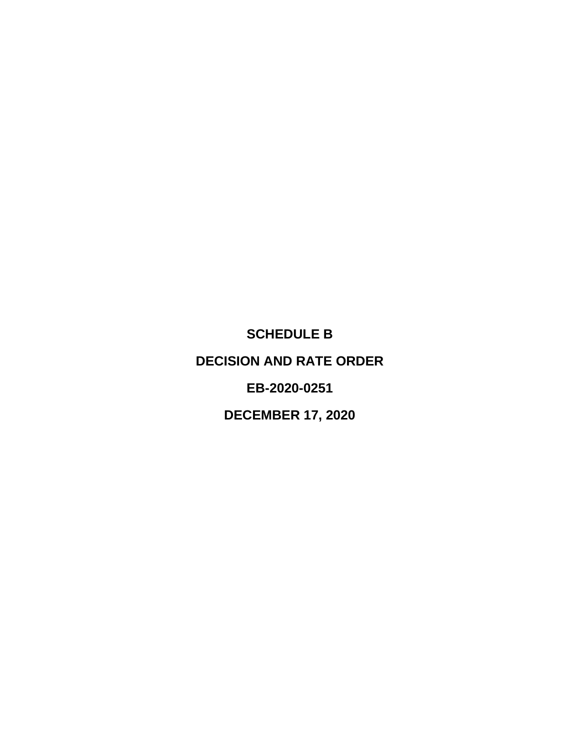<span id="page-14-0"></span>**SCHEDULE B DECISION AND RATE ORDER EB-2020-0251**

**DECEMBER 17, 2020**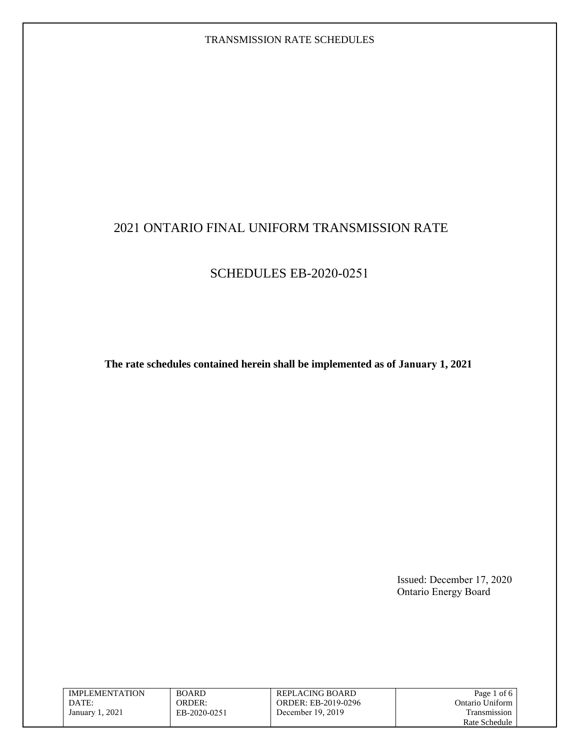## 2021 ONTARIO FINAL UNIFORM TRANSMISSION RATE

## SCHEDULES EB-2020-0251

**The rate schedules contained herein shall be implemented as of January 1, 2021**

Issued: December 17, 2020 Ontario Energy Board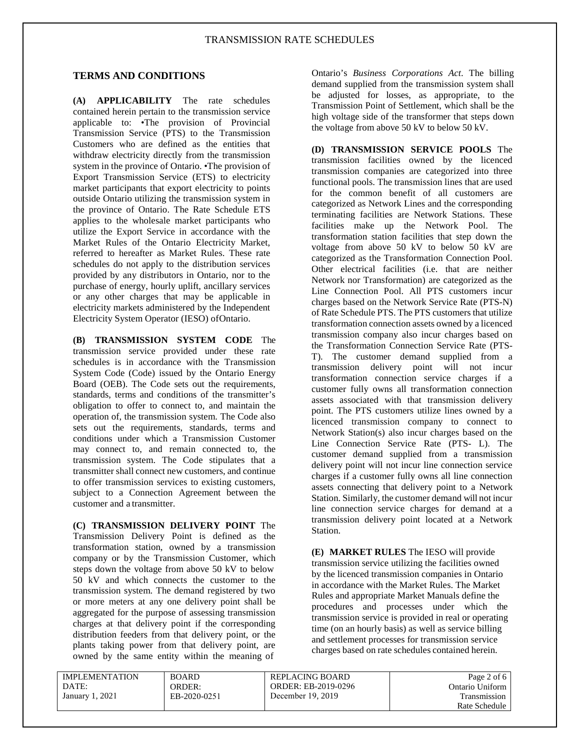#### **TERMS AND CONDITIONS**

**(A) APPLICABILITY** The rate schedules contained herein pertain to the transmission service applicable to: •The provision of Provincial Transmission Service (PTS) to the Transmission Customers who are defined as the entities that withdraw electricity directly from the transmission system in the province of Ontario. •The provision of Export Transmission Service (ETS) to electricity market participants that export electricity to points outside Ontario utilizing the transmission system in the province of Ontario. The Rate Schedule ETS applies to the wholesale market participants who utilize the Export Service in accordance with the Market Rules of the Ontario Electricity Market, referred to hereafter as Market Rules. These rate schedules do not apply to the distribution services provided by any distributors in Ontario, nor to the purchase of energy, hourly uplift, ancillary services or any other charges that may be applicable in electricity markets administered by the Independent Electricity System Operator (IESO) ofOntario.

**(B) TRANSMISSION SYSTEM CODE** The transmission service provided under these rate schedules is in accordance with the Transmission System Code (Code) issued by the Ontario Energy Board (OEB). The Code sets out the requirements, standards, terms and conditions of the transmitter's obligation to offer to connect to, and maintain the operation of, the transmission system. The Code also sets out the requirements, standards, terms and conditions under which a Transmission Customer may connect to, and remain connected to, the transmission system. The Code stipulates that a transmitter shall connect new customers, and continue to offer transmission services to existing customers, subject to a Connection Agreement between the customer and a transmitter.

**(C) TRANSMISSION DELIVERY POINT** The Transmission Delivery Point is defined as the transformation station, owned by a transmission company or by the Transmission Customer, which steps down the voltage from above 50 kV to below 50 kV and which connects the customer to the transmission system. The demand registered by two or more meters at any one delivery point shall be aggregated for the purpose of assessing transmission charges at that delivery point if the corresponding distribution feeders from that delivery point, or the plants taking power from that delivery point, are owned by the same entity within the meaning of

Ontario's *Business Corporations Act*. The billing demand supplied from the transmission system shall be adjusted for losses, as appropriate, to the Transmission Point of Settlement, which shall be the high voltage side of the transformer that steps down the voltage from above 50 kV to below 50 kV.

**(D) TRANSMISSION SERVICE POOLS** The transmission facilities owned by the licenced transmission companies are categorized into three functional pools. The transmission lines that are used for the common benefit of all customers are categorized as Network Lines and the corresponding terminating facilities are Network Stations. These facilities make up the Network Pool. The transformation station facilities that step down the voltage from above 50 kV to below 50 kV are categorized as the Transformation Connection Pool. Other electrical facilities (i.e. that are neither Network nor Transformation) are categorized as the Line Connection Pool. All PTS customers incur charges based on the Network Service Rate (PTS-N) of Rate Schedule PTS. The PTS customers that utilize transformation connection assets owned by a licenced transmission company also incur charges based on the Transformation Connection Service Rate (PTS-T). The customer demand supplied from a transmission delivery point will not incur transformation connection service charges if a customer fully owns all transformation connection assets associated with that transmission delivery point. The PTS customers utilize lines owned by a licenced transmission company to connect to Network Station(s) also incur charges based on the Line Connection Service Rate (PTS- L). The customer demand supplied from a transmission delivery point will not incur line connection service charges if a customer fully owns all line connection assets connecting that delivery point to a Network Station. Similarly, the customer demand will not incur line connection service charges for demand at a transmission delivery point located at a Network Station.

**(E) MARKET RULES** The IESO will provide transmission service utilizing the facilities owned by the licenced transmission companies in Ontario in accordance with the Market Rules. The Market Rules and appropriate Market Manuals define the procedures and processes under which the transmission service is provided in real or operating time (on an hourly basis) as well as service billing and settlement processes for transmission service charges based on rate schedules contained herein.

IMPLEMENTATION DATE: January 1, 2021

BOARD ORDER: EB-2020-0251 REPLACING BOARD ORDER: EB-2019-0296 December 19, 2019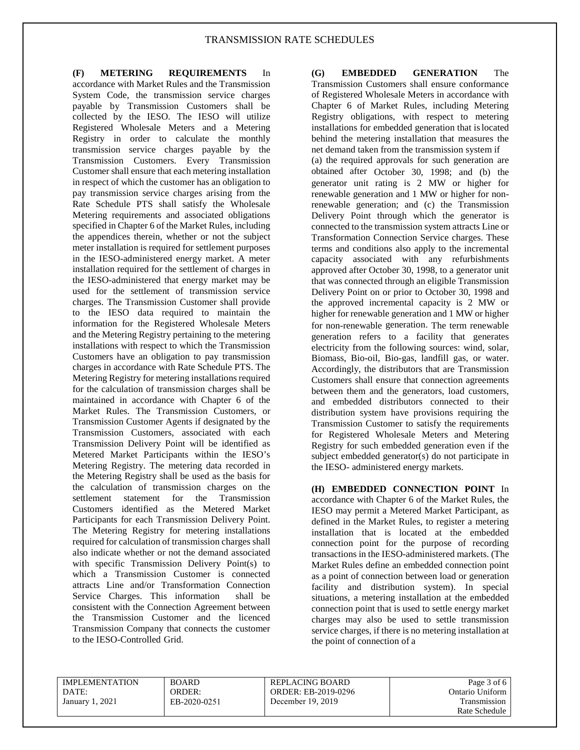**(F) METERING REQUIREMENTS** In accordance with Market Rules and the Transmission System Code, the transmission service charges payable by Transmission Customers shall be collected by the IESO. The IESO will utilize Registered Wholesale Meters and a Metering Registry in order to calculate the monthly transmission service charges payable by the Transmission Customers. Every Transmission Customer shall ensure that each metering installation in respect of which the customer has an obligation to pay transmission service charges arising from the Rate Schedule PTS shall satisfy the Wholesale Metering requirements and associated obligations specified in Chapter 6 of the Market Rules, including the appendices therein, whether or not the subject meter installation is required for settlement purposes in the IESO-administered energy market. A meter installation required for the settlement of charges in the IESO-administered that energy market may be used for the settlement of transmission service charges. The Transmission Customer shall provide to the IESO data required to maintain the information for the Registered Wholesale Meters and the Metering Registry pertaining to the metering installations with respect to which the Transmission Customers have an obligation to pay transmission charges in accordance with Rate Schedule PTS. The Metering Registry for metering installations required for the calculation of transmission charges shall be maintained in accordance with Chapter 6 of the Market Rules. The Transmission Customers, or Transmission Customer Agents if designated by the Transmission Customers, associated with each Transmission Delivery Point will be identified as Metered Market Participants within the IESO's Metering Registry. The metering data recorded in the Metering Registry shall be used as the basis for the calculation of transmission charges on the settlement statement for the Transmission Customers identified as the Metered Market Participants for each Transmission Delivery Point. The Metering Registry for metering installations required for calculation of transmission charges shall also indicate whether or not the demand associated with specific Transmission Delivery Point(s) to which a Transmission Customer is connected attracts Line and/or Transformation Connection Service Charges. This information shall be consistent with the Connection Agreement between the Transmission Customer and the licenced Transmission Company that connects the customer to the IESO-Controlled Grid.

**(G) EMBEDDED GENERATION** The Transmission Customers shall ensure conformance of Registered Wholesale Meters in accordance with Chapter 6 of Market Rules, including Metering Registry obligations, with respect to metering installations for embedded generation that islocated behind the metering installation that measures the net demand taken from the transmission system if (a) the required approvals for such generation are obtained after October 30, 1998; and (b) the generator unit rating is 2 MW or higher for renewable generation and 1 MW or higher for nonrenewable generation; and (c) the Transmission Delivery Point through which the generator is connected to the transmission system attracts Line or Transformation Connection Service charges. These terms and conditions also apply to the incremental capacity associated with any refurbishments approved after October 30, 1998, to a generator unit that was connected through an eligible Transmission Delivery Point on or prior to October 30, 1998 and the approved incremental capacity is 2 MW or higher for renewable generation and 1 MW or higher for non-renewable generation. The term renewable generation refers to a facility that generates electricity from the following sources: wind, solar, Biomass, Bio-oil, Bio-gas, landfill gas, or water. Accordingly, the distributors that are Transmission Customers shall ensure that connection agreements between them and the generators, load customers, and embedded distributors connected to their distribution system have provisions requiring the Transmission Customer to satisfy the requirements for Registered Wholesale Meters and Metering Registry for such embedded generation even if the subject embedded generator(s) do not participate in the IESO- administered energy markets.

**(H) EMBEDDED CONNECTION POINT** In accordance with Chapter 6 of the Market Rules, the IESO may permit a Metered Market Participant, as defined in the Market Rules, to register a metering installation that is located at the embedded connection point for the purpose of recording transactions in the IESO-administered markets. (The Market Rules define an embedded connection point as a point of connection between load or generation facility and distribution system). In special situations, a metering installation at the embedded connection point that is used to settle energy market charges may also be used to settle transmission service charges, if there is no metering installation at the point of connection of a

IMPLEMENTATION DATE: January 1, 2021

BOARD ORDER: EB-2020-0251 REPLACING BOARD ORDER: EB-2019-0296 December 19, 2019

Page 3 of 6 Ontario Uniform Transmission Rate Schedule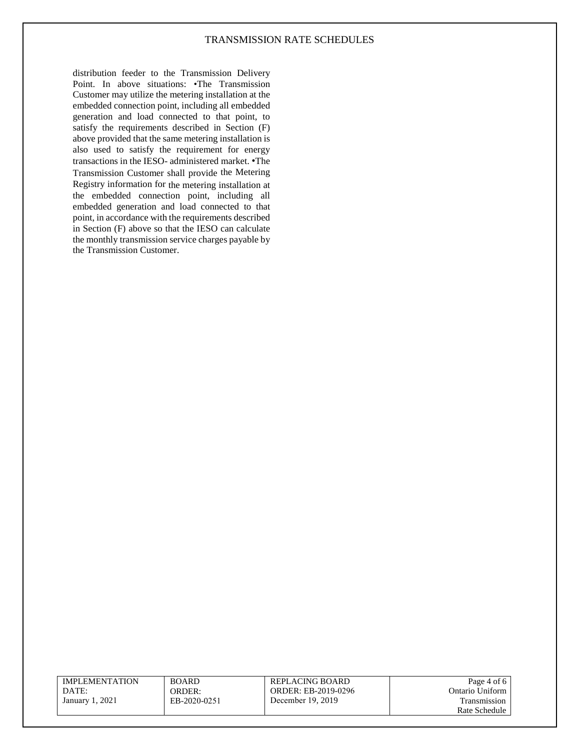distribution feeder to the Transmission Delivery Point. In above situations: •The Transmission Customer may utilize the metering installation at the embedded connection point, including all embedded generation and load connected to that point, to satisfy the requirements described in Section (F) above provided that the same metering installation is also used to satisfy the requirement for energy transactions in the IESO- administered market. •The Transmission Customer shall provide the Metering Registry information for the metering installation at the embedded connection point, including all embedded generation and load connected to that point, in accordance with the requirements described in Section (F) above so that the IESO can calculate the monthly transmission service charges payable by the Transmission Customer.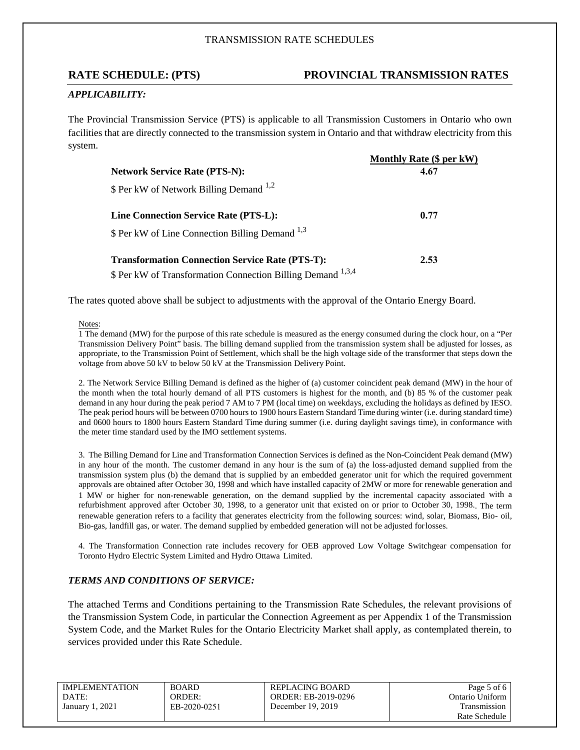## **RATE SCHEDULE: (PTS) PROVINCIAL TRANSMISSION RATES**

## *APPLICABILITY:*

The Provincial Transmission Service (PTS) is applicable to all Transmission Customers in Ontario who own facilities that are directly connected to the transmission system in Ontario and that withdraw electricity from this system.

|                                                             | <b>Monthly Rate (\$ per kV)</b> |
|-------------------------------------------------------------|---------------------------------|
| <b>Network Service Rate (PTS-N):</b>                        | 4.67                            |
| \$ Per kW of Network Billing Demand <sup>1,2</sup>          |                                 |
| Line Connection Service Rate (PTS-L):                       | 0.77                            |
| \$ Per kW of Line Connection Billing Demand <sup>1,3</sup>  |                                 |
| <b>Transformation Connection Service Rate (PTS-T):</b>      | 2.53                            |
| \$ Per kW of Transformation Connection Billing Demand 1,3,4 |                                 |

The rates quoted above shall be subject to adjustments with the approval of the Ontario Energy Board.

#### Notes:

1 The demand (MW) for the purpose of this rate schedule is measured as the energy consumed during the clock hour, on a "Per Transmission Delivery Point" basis. The billing demand supplied from the transmission system shall be adjusted for losses, as appropriate, to the Transmission Point of Settlement, which shall be the high voltage side of the transformer that steps down the voltage from above 50 kV to below 50 kV at the Transmission Delivery Point.

2. The Network Service Billing Demand is defined as the higher of (a) customer coincident peak demand (MW) in the hour of the month when the total hourly demand of all PTS customers is highest for the month, and (b) 85 % of the customer peak demand in any hour during the peak period 7 AM to 7 PM (local time) on weekdays, excluding the holidays as defined by IESO. The peak period hours will be between 0700 hours to 1900 hours Eastern Standard Time during winter (i.e. during standard time) and 0600 hours to 1800 hours Eastern Standard Time during summer (i.e. during daylight savings time), in conformance with the meter time standard used by the IMO settlement systems.

3. The Billing Demand for Line and Transformation Connection Services is defined as the Non-Coincident Peak demand (MW) in any hour of the month. The customer demand in any hour is the sum of (a) the loss-adjusted demand supplied from the transmission system plus (b) the demand that is supplied by an embedded generator unit for which the required government approvals are obtained after October 30, 1998 and which have installed capacity of 2MW or more for renewable generation and 1 MW or higher for non-renewable generation, on the demand supplied by the incremental capacity associated with a refurbishment approved after October 30, 1998, to a generator unit that existed on or prior to October 30, 1998.. The term renewable generation refers to a facility that generates electricity from the following sources: wind, solar, Biomass, Bio- oil, Bio-gas, landfill gas, or water. The demand supplied by embedded generation will not be adjusted forlosses.

4. The Transformation Connection rate includes recovery for OEB approved Low Voltage Switchgear compensation for Toronto Hydro Electric System Limited and Hydro Ottawa Limited.

#### *TERMS AND CONDITIONS OF SERVICE:*

The attached Terms and Conditions pertaining to the Transmission Rate Schedules, the relevant provisions of the Transmission System Code, in particular the Connection Agreement as per Appendix 1 of the Transmission System Code, and the Market Rules for the Ontario Electricity Market shall apply, as contemplated therein, to services provided under this Rate Schedule.